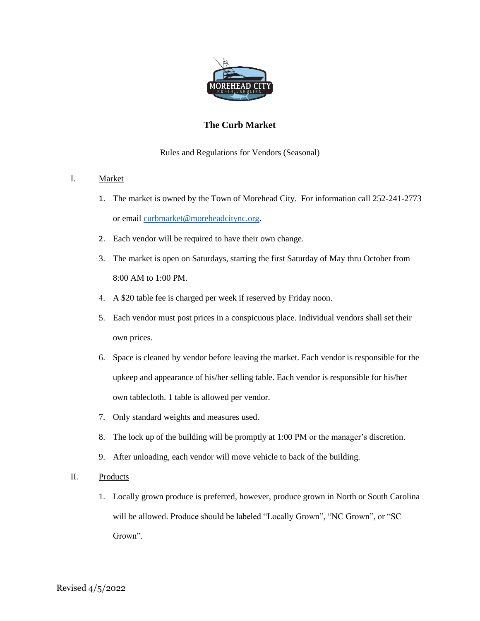

# **The Curb Market**

## Rules and Regulations for Vendors (Seasonal)

## I. Market

- 1. The market is owned by the Town of Morehead City. For information call 252-241-2773 or email [curbmarket@moreheadcitync.org.](mailto:curbmarket@moreheadcitync.org)
- 2. Each vendor will be required to have their own change.
- 3. The market is open on Saturdays, starting the first Saturday of May thru October from 8:00 AM to 1:00 PM.
- 4. A \$20 table fee is charged per week if reserved by Friday noon.
- 5. Each vendor must post prices in a conspicuous place. Individual vendors shall set their own prices.
- 6. Space is cleaned by vendor before leaving the market. Each vendor is responsible for the upkeep and appearance of his/her selling table. Each vendor is responsible for his/her own tablecloth. 1 table is allowed per vendor.
- 7. Only standard weights and measures used.
- 8. The lock up of the building will be promptly at 1:00 PM or the manager's discretion.
- 9. After unloading, each vendor will move vehicle to back of the building.
- II. Products
	- 1. Locally grown produce is preferred, however, produce grown in North or South Carolina will be allowed. Produce should be labeled "Locally Grown", "NC Grown", or "SC Grown".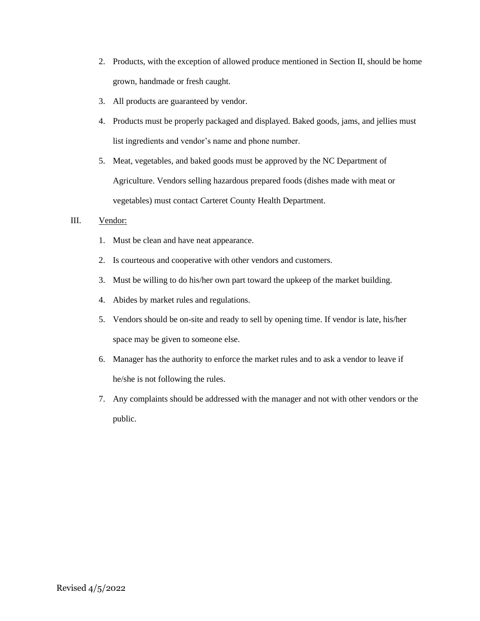- 2. Products, with the exception of allowed produce mentioned in Section II, should be home grown, handmade or fresh caught.
- 3. All products are guaranteed by vendor.
- 4. Products must be properly packaged and displayed. Baked goods, jams, and jellies must list ingredients and vendor's name and phone number.
- 5. Meat, vegetables, and baked goods must be approved by the NC Department of Agriculture. Vendors selling hazardous prepared foods (dishes made with meat or vegetables) must contact Carteret County Health Department.

## III. Vendor:

- 1. Must be clean and have neat appearance.
- 2. Is courteous and cooperative with other vendors and customers.
- 3. Must be willing to do his/her own part toward the upkeep of the market building.
- 4. Abides by market rules and regulations.
- 5. Vendors should be on-site and ready to sell by opening time. If vendor is late, his/her space may be given to someone else.
- 6. Manager has the authority to enforce the market rules and to ask a vendor to leave if he/she is not following the rules.
- 7. Any complaints should be addressed with the manager and not with other vendors or the public.